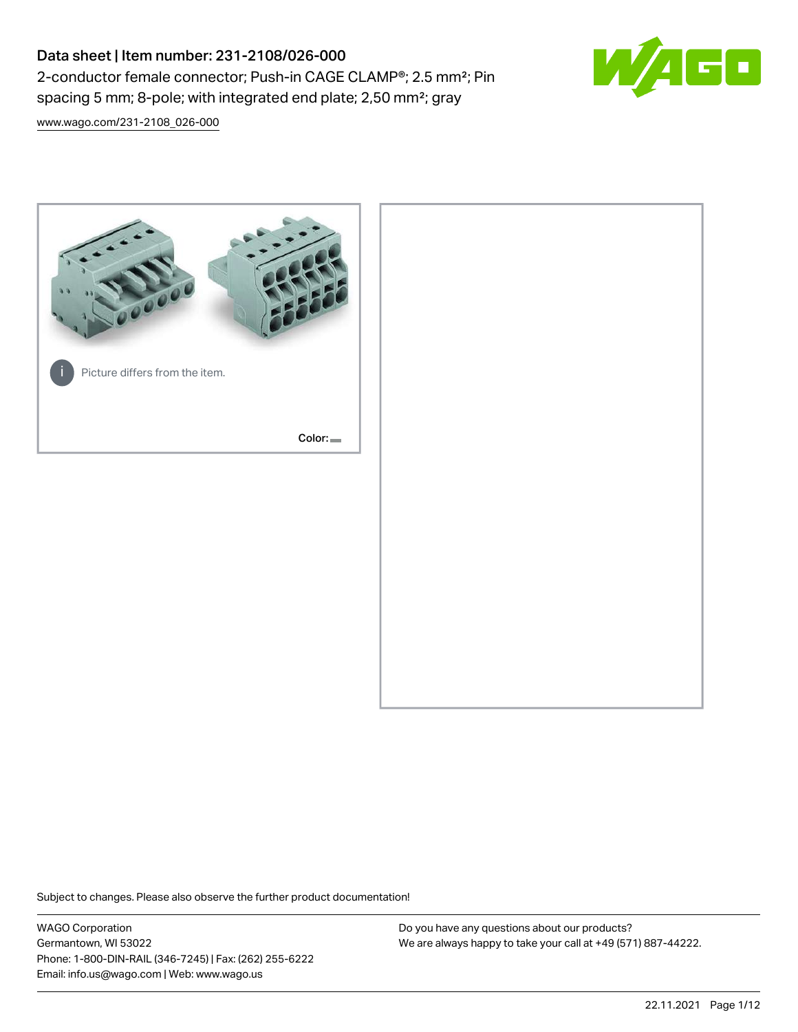# Data sheet | Item number: 231-2108/026-000 2-conductor female connector; Push-in CAGE CLAMP®; 2.5 mm²; Pin spacing 5 mm; 8-pole; with integrated end plate; 2,50 mm²; gray



[www.wago.com/231-2108\\_026-000](http://www.wago.com/231-2108_026-000)



Subject to changes. Please also observe the further product documentation!

WAGO Corporation Germantown, WI 53022 Phone: 1-800-DIN-RAIL (346-7245) | Fax: (262) 255-6222 Email: info.us@wago.com | Web: www.wago.us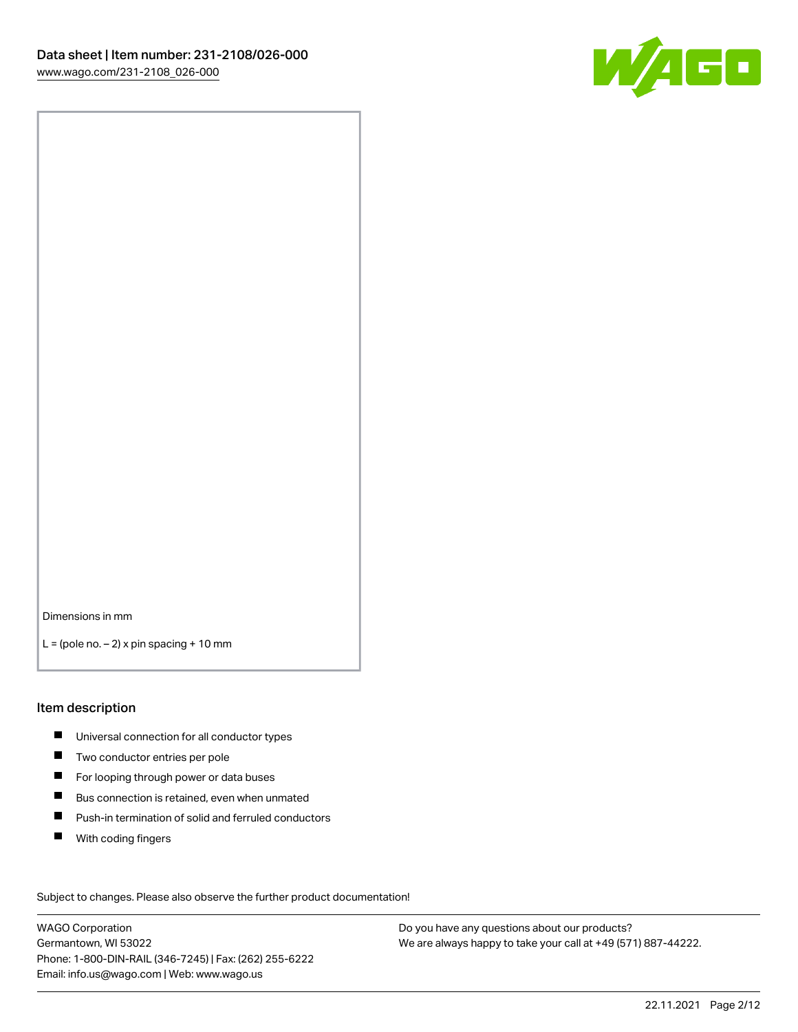

Dimensions in mm

 $L =$  (pole no.  $-2$ ) x pin spacing + 10 mm

#### Item description

- **Universal connection for all conductor types**
- **Two conductor entries per pole**
- $\blacksquare$ For looping through power or data buses
- $\blacksquare$ Bus connection is retained, even when unmated
- $\blacksquare$ Push-in termination of solid and ferruled conductors
- $\blacksquare$ With coding fingers

Subject to changes. Please also observe the further product documentation! Data

WAGO Corporation Germantown, WI 53022 Phone: 1-800-DIN-RAIL (346-7245) | Fax: (262) 255-6222 Email: info.us@wago.com | Web: www.wago.us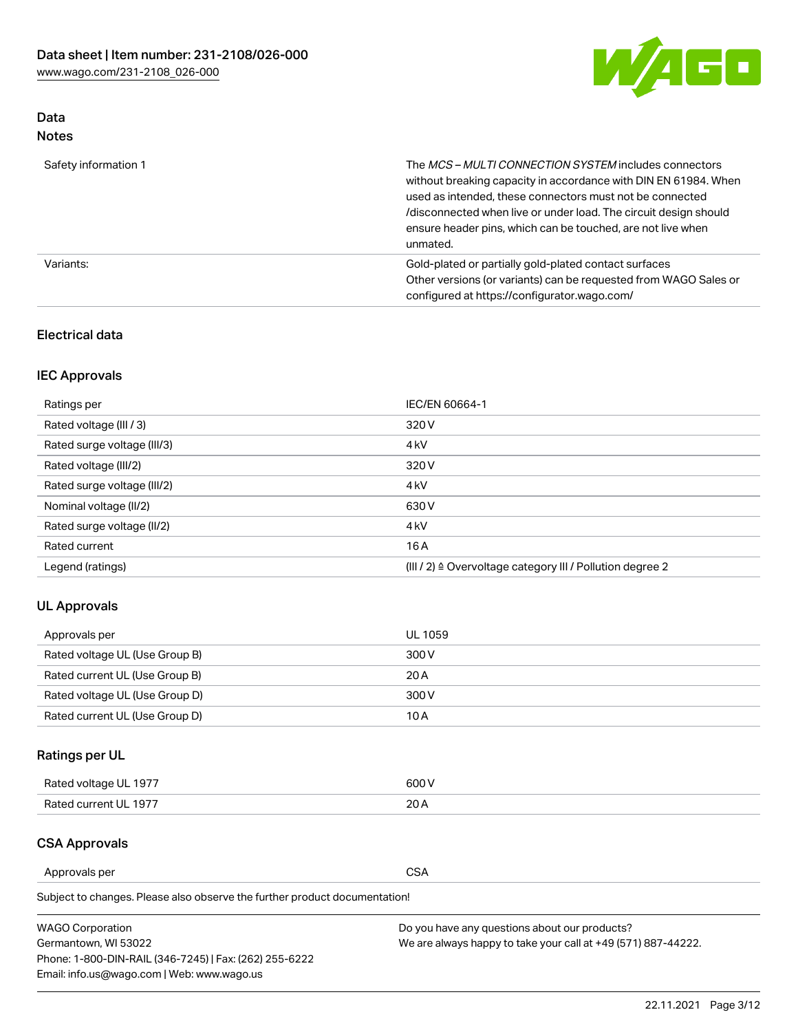

## Data Notes

| Safety information 1 | The MCS-MULTI CONNECTION SYSTEM includes connectors<br>without breaking capacity in accordance with DIN EN 61984. When<br>used as intended, these connectors must not be connected<br>/disconnected when live or under load. The circuit design should<br>ensure header pins, which can be touched, are not live when<br>unmated. |
|----------------------|-----------------------------------------------------------------------------------------------------------------------------------------------------------------------------------------------------------------------------------------------------------------------------------------------------------------------------------|
| Variants:            | Gold-plated or partially gold-plated contact surfaces<br>Other versions (or variants) can be requested from WAGO Sales or<br>configured at https://configurator.wago.com/                                                                                                                                                         |

#### Electrical data

## IEC Approvals

| Ratings per                 | IEC/EN 60664-1                                                        |
|-----------------------------|-----------------------------------------------------------------------|
| Rated voltage (III / 3)     | 320 V                                                                 |
| Rated surge voltage (III/3) | 4 <sub>k</sub> V                                                      |
| Rated voltage (III/2)       | 320 V                                                                 |
| Rated surge voltage (III/2) | 4 <sub>k</sub> V                                                      |
| Nominal voltage (II/2)      | 630 V                                                                 |
| Rated surge voltage (II/2)  | 4 <sub>k</sub> V                                                      |
| Rated current               | 16 A                                                                  |
| Legend (ratings)            | $(III / 2)$ $\triangle$ Overvoltage category III / Pollution degree 2 |

### UL Approvals

| Approvals per                  | UL 1059 |
|--------------------------------|---------|
| Rated voltage UL (Use Group B) | 300 V   |
| Rated current UL (Use Group B) | 20 A    |
| Rated voltage UL (Use Group D) | 300 V   |
| Rated current UL (Use Group D) | 10 A    |

## Ratings per UL

| Rated voltage UL 1977 | 600 V |
|-----------------------|-------|
| Rated current UL 1977 | nn.   |

#### CSA Approvals

Approvals per CSA

Subject to changes. Please also observe the further product documentation!

| <b>WAGO Corporation</b>                                | Do you have any questions about our products?                 |
|--------------------------------------------------------|---------------------------------------------------------------|
| Germantown, WI 53022                                   | We are always happy to take your call at +49 (571) 887-44222. |
| Phone: 1-800-DIN-RAIL (346-7245)   Fax: (262) 255-6222 |                                                               |
| Email: info.us@wago.com   Web: www.wago.us             |                                                               |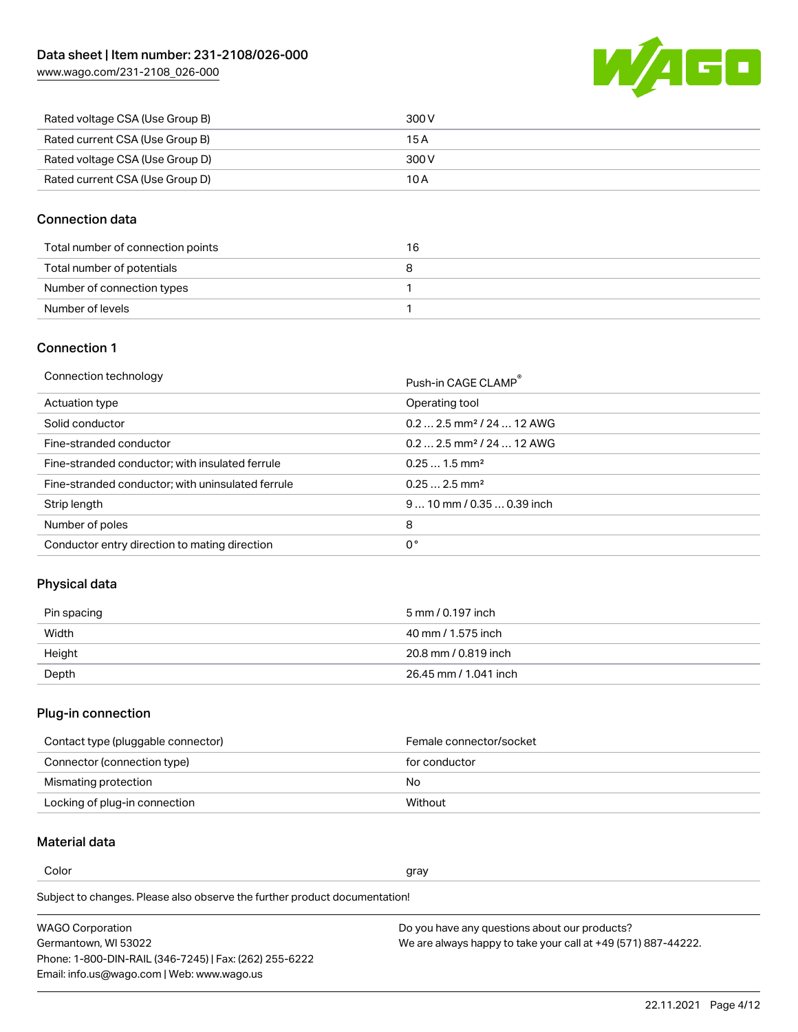

| Rated voltage CSA (Use Group B) | 300 V |
|---------------------------------|-------|
| Rated current CSA (Use Group B) | 15 A  |
| Rated voltage CSA (Use Group D) | 300 V |
| Rated current CSA (Use Group D) | 10 A  |

#### Connection data

| Total number of connection points | 16 |
|-----------------------------------|----|
| Total number of potentials        |    |
| Number of connection types        |    |
| Number of levels                  |    |

#### Connection 1

| Connection technology |
|-----------------------|
|-----------------------|

| Connection technology                             | Push-in CAGE CLAMP®                   |
|---------------------------------------------------|---------------------------------------|
| Actuation type                                    | Operating tool                        |
| Solid conductor                                   | $0.22.5$ mm <sup>2</sup> / 24  12 AWG |
| Fine-stranded conductor                           | $0.22.5$ mm <sup>2</sup> / 24  12 AWG |
| Fine-stranded conductor; with insulated ferrule   | $0.251.5$ mm <sup>2</sup>             |
| Fine-stranded conductor; with uninsulated ferrule | $0.252.5$ mm <sup>2</sup>             |
| Strip length                                      | $910$ mm / 0.35  0.39 inch            |
| Number of poles                                   | 8                                     |
| Conductor entry direction to mating direction     | 0°                                    |

### Physical data

| Pin spacing | 5 mm / 0.197 inch     |
|-------------|-----------------------|
| Width       | 40 mm / 1.575 inch    |
| Height      | 20.8 mm / 0.819 inch  |
| Depth       | 26.45 mm / 1.041 inch |

## Plug-in connection

| Contact type (pluggable connector) | Female connector/socket |
|------------------------------------|-------------------------|
| Connector (connection type)        | for conductor           |
| Mismating protection               | No.                     |
| Locking of plug-in connection      | Without                 |

## Material data

Color and the color of the color of the color of the color of the color of the color of the color of the color

Subject to changes. Please also observe the further product documentation! Material group I

| <b>WAGO Corporation</b>                                | Do you have any questions about our products?                 |
|--------------------------------------------------------|---------------------------------------------------------------|
| Germantown, WI 53022                                   | We are always happy to take your call at +49 (571) 887-44222. |
| Phone: 1-800-DIN-RAIL (346-7245)   Fax: (262) 255-6222 |                                                               |
| Email: info.us@wago.com   Web: www.wago.us             |                                                               |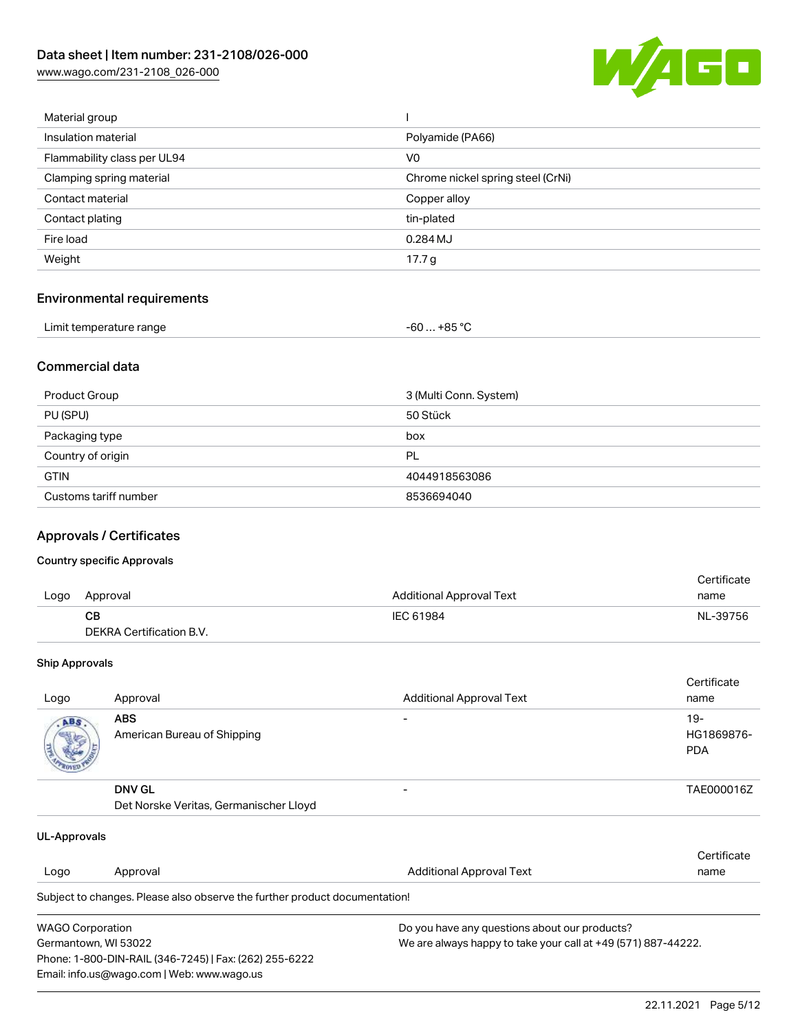

| Material group              |                                   |
|-----------------------------|-----------------------------------|
| Insulation material         | Polyamide (PA66)                  |
| Flammability class per UL94 | V <sub>0</sub>                    |
| Clamping spring material    | Chrome nickel spring steel (CrNi) |
| Contact material            | Copper alloy                      |
| Contact plating             | tin-plated                        |
| Fire load                   | 0.284 MJ                          |
| Weight                      | 17.7 g                            |
|                             |                                   |

## Environmental requirements

| Limit temperature range<br>. | … +85 °C.<br>-60 |  |
|------------------------------|------------------|--|
|------------------------------|------------------|--|

#### Commercial data

| Product Group         | 3 (Multi Conn. System) |
|-----------------------|------------------------|
| PU (SPU)              | 50 Stück               |
| Packaging type        | box                    |
| Country of origin     | PL                     |
| <b>GTIN</b>           | 4044918563086          |
| Customs tariff number | 8536694040             |

#### Approvals / Certificates

#### Country specific Approvals

|      |                          |                          | Certificate |
|------|--------------------------|--------------------------|-------------|
| Logo | Approval                 | Additional Approval Text | name        |
|      | CB.                      | IEC 61984                | NL-39756    |
|      | DEKRA Certification B.V. |                          |             |

#### Ship Approvals

| Logo | Approval                                                | <b>Additional Approval Text</b> | Certificate<br>name                |
|------|---------------------------------------------------------|---------------------------------|------------------------------------|
| ABS. | <b>ABS</b><br>American Bureau of Shipping               |                                 | $19 -$<br>HG1869876-<br><b>PDA</b> |
|      | <b>DNV GL</b><br>Det Norske Veritas, Germanischer Lloyd |                                 | TAE000016Z                         |

| UL-Approvals            |                                                                            |                                               |                                                               |  |
|-------------------------|----------------------------------------------------------------------------|-----------------------------------------------|---------------------------------------------------------------|--|
|                         |                                                                            |                                               | Certificate                                                   |  |
| Logo                    | Approval                                                                   | Additional Approval Text                      | name                                                          |  |
|                         | Subject to changes. Please also observe the further product documentation! |                                               |                                                               |  |
| <b>WAGO Corporation</b> |                                                                            | Do you have any questions about our products? |                                                               |  |
| Germantown, WI 53022    |                                                                            |                                               | We are always happy to take your call at +49 (571) 887-44222. |  |
|                         | Phone: 1-800-DIN-RAIL (346-7245)   Fax: (262) 255-6222                     |                                               |                                                               |  |
|                         | Email: info.us@wago.com   Web: www.wago.us                                 |                                               |                                                               |  |

22.11.2021 Page 5/12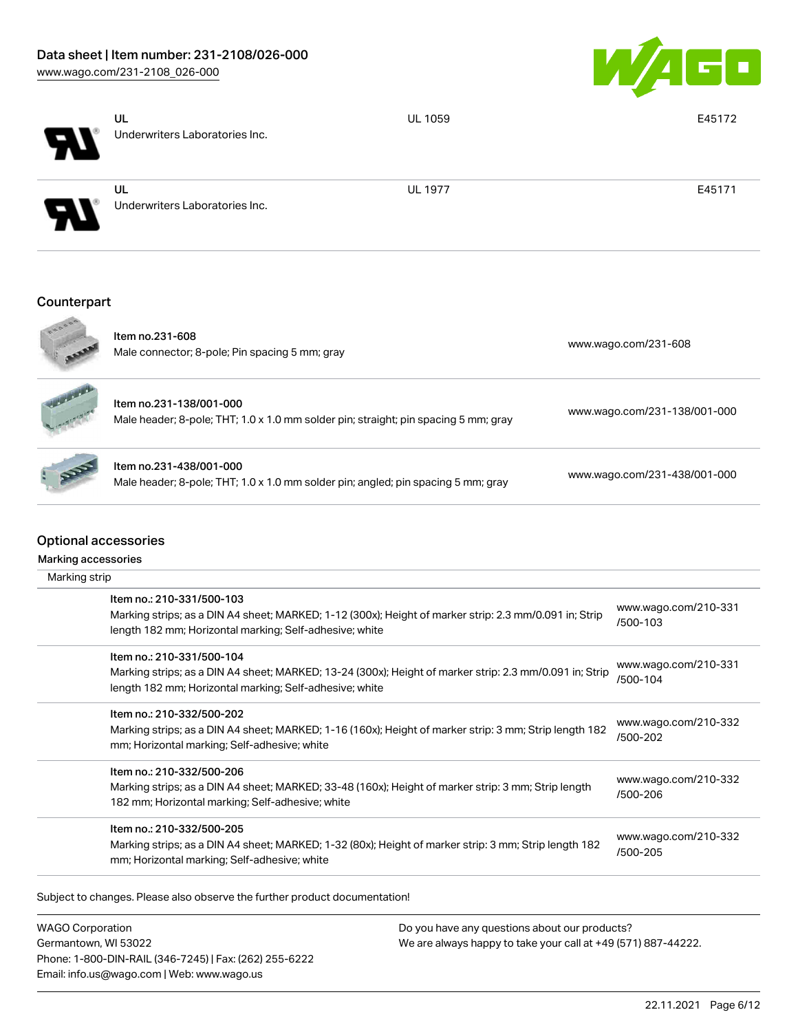

|                             | UL<br>Underwriters Laboratories Inc.                                                                                                                                                            | <b>UL 1059</b> | E45172                           |
|-----------------------------|-------------------------------------------------------------------------------------------------------------------------------------------------------------------------------------------------|----------------|----------------------------------|
|                             | UL<br>Underwriters Laboratories Inc.                                                                                                                                                            | <b>UL 1977</b> | E45171                           |
| Counterpart                 |                                                                                                                                                                                                 |                |                                  |
|                             | Item no.231-608<br>Male connector; 8-pole; Pin spacing 5 mm; gray                                                                                                                               |                | www.wago.com/231-608             |
|                             | Item no.231-138/001-000<br>Male header; 8-pole; THT; 1.0 x 1.0 mm solder pin; straight; pin spacing 5 mm; gray                                                                                  |                | www.wago.com/231-138/001-000     |
|                             | Item no.231-438/001-000<br>Male header; 8-pole; THT; 1.0 x 1.0 mm solder pin; angled; pin spacing 5 mm; gray                                                                                    |                | www.wago.com/231-438/001-000     |
| <b>Optional accessories</b> |                                                                                                                                                                                                 |                |                                  |
|                             |                                                                                                                                                                                                 |                |                                  |
| Marking strip               |                                                                                                                                                                                                 |                |                                  |
|                             | Item no.: 210-331/500-103<br>Marking strips; as a DIN A4 sheet; MARKED; 1-12 (300x); Height of marker strip: 2.3 mm/0.091 in; Strip<br>length 182 mm; Horizontal marking; Self-adhesive; white  |                | www.wago.com/210-331<br>/500-103 |
|                             | Item no.: 210-331/500-104<br>Marking strips; as a DIN A4 sheet; MARKED; 13-24 (300x); Height of marker strip: 2.3 mm/0.091 in; Strip<br>length 182 mm; Horizontal marking; Self-adhesive; white |                | www.wago.com/210-331<br>/500-104 |
|                             | Item no.: 210-332/500-202<br>Marking strips; as a DIN A4 sheet; MARKED; 1-16 (160x); Height of marker strip: 3 mm; Strip length 182<br>mm; Horizontal marking; Self-adhesive; white             |                | www.wago.com/210-332<br>/500-202 |
| Marking accessories         | Item no.: 210-332/500-206<br>Marking strips; as a DIN A4 sheet; MARKED; 33-48 (160x); Height of marker strip: 3 mm; Strip length<br>182 mm; Horizontal marking; Self-adhesive; white            |                | www.wago.com/210-332<br>/500-206 |

WAGO Corporation Germantown, WI 53022 Phone: 1-800-DIN-RAIL (346-7245) | Fax: (262) 255-6222 Email: info.us@wago.com | Web: www.wago.us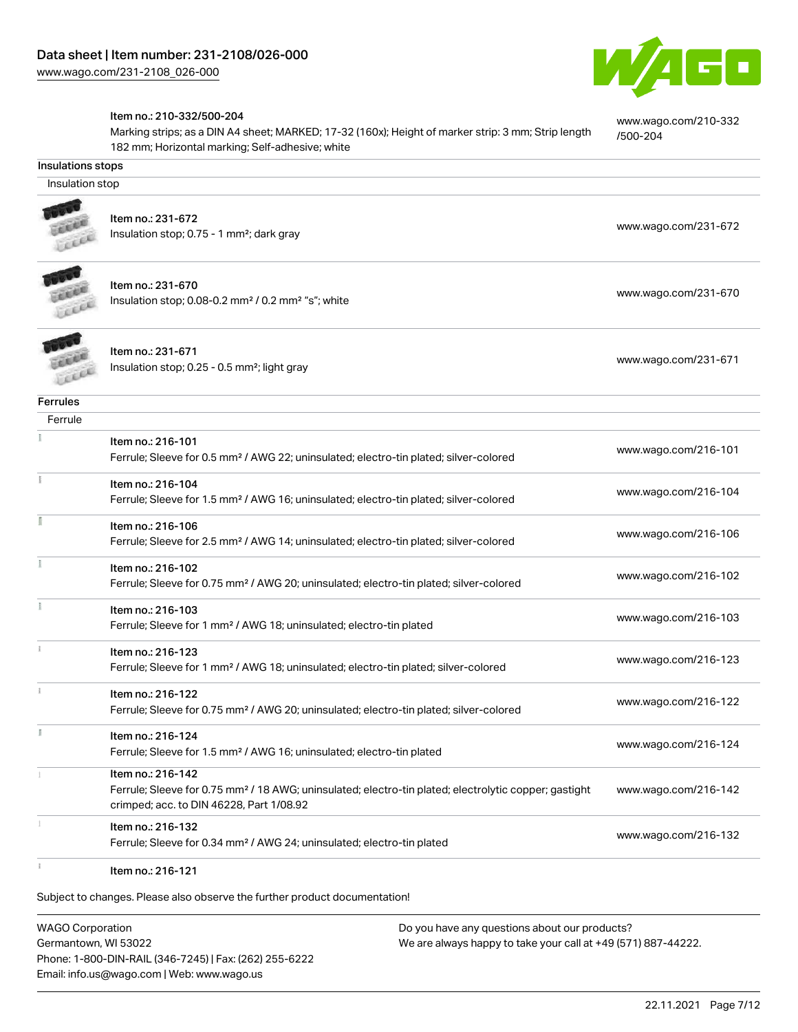

[www.wago.com/210-332](http://www.wago.com/210-332/500-204)

[/500-204](http://www.wago.com/210-332/500-204)

#### Item no.: 210-332/500-204

Marking strips; as a DIN A4 sheet; MARKED; 17-32 (160x); Height of marker strip: 3 mm; Strip length 182 mm; Horizontal marking; Self-adhesive; white

#### Insulations stops

Insulation stop



Item no.: 231-672 Insulation stop; 0.75 - 1 mm<sup>2</sup>; dark gray [www.wago.com/231-672](http://www.wago.com/231-672) msulation stop; 0.75 - 1 mm<sup>2</sup>; dark gray



Item no.: 231-670 Insulation stop; 0.08-0.2 mm<sup>2</sup> / 0.2 mm<sup>2</sup> "s"; white [www.wago.com/231-670](http://www.wago.com/231-670) www.wago.com/231-670



Item no.: 231-671 Insulation stop; 0.25 - 0.5 mm²; light gray [www.wago.com/231-671](http://www.wago.com/231-671) www.wago.com/231-671

#### Ferrules

| Ferrule |                                                                                                                   |                      |
|---------|-------------------------------------------------------------------------------------------------------------------|----------------------|
|         | Item no.: 216-101                                                                                                 |                      |
|         | Ferrule; Sleeve for 0.5 mm <sup>2</sup> / AWG 22; uninsulated; electro-tin plated; silver-colored                 | www.wago.com/216-101 |
|         | Item no.: 216-104                                                                                                 |                      |
|         | Ferrule; Sleeve for 1.5 mm <sup>2</sup> / AWG 16; uninsulated; electro-tin plated; silver-colored                 | www.wago.com/216-104 |
|         | Item no.: 216-106                                                                                                 |                      |
|         | Ferrule; Sleeve for 2.5 mm <sup>2</sup> / AWG 14; uninsulated; electro-tin plated; silver-colored                 | www.wago.com/216-106 |
|         | Item no.: 216-102                                                                                                 |                      |
|         | Ferrule; Sleeve for 0.75 mm <sup>2</sup> / AWG 20; uninsulated; electro-tin plated; silver-colored                | www.wago.com/216-102 |
|         | Item no.: 216-103                                                                                                 |                      |
|         | Ferrule; Sleeve for 1 mm <sup>2</sup> / AWG 18; uninsulated; electro-tin plated                                   | www.wago.com/216-103 |
|         | Item no.: 216-123                                                                                                 |                      |
|         | Ferrule; Sleeve for 1 mm <sup>2</sup> / AWG 18; uninsulated; electro-tin plated; silver-colored                   | www.wago.com/216-123 |
|         | Item no.: 216-122                                                                                                 |                      |
|         | Ferrule; Sleeve for 0.75 mm <sup>2</sup> / AWG 20; uninsulated; electro-tin plated; silver-colored                | www.wago.com/216-122 |
|         | Item no.: 216-124                                                                                                 |                      |
|         | Ferrule; Sleeve for 1.5 mm <sup>2</sup> / AWG 16; uninsulated; electro-tin plated                                 | www.wago.com/216-124 |
|         | Item no.: 216-142                                                                                                 |                      |
|         | Ferrule; Sleeve for 0.75 mm <sup>2</sup> / 18 AWG; uninsulated; electro-tin plated; electrolytic copper; gastight | www.wago.com/216-142 |
|         | crimped; acc. to DIN 46228, Part 1/08.92                                                                          |                      |
|         | Item no.: 216-132                                                                                                 | www.wago.com/216-132 |
|         | Ferrule; Sleeve for 0.34 mm <sup>2</sup> / AWG 24; uninsulated; electro-tin plated                                |                      |
|         | Item no.: 216-121                                                                                                 |                      |

Subject to changes. Please also observe the further product documentation!

WAGO Corporation Germantown, WI 53022 Phone: 1-800-DIN-RAIL (346-7245) | Fax: (262) 255-6222 Email: info.us@wago.com | Web: www.wago.us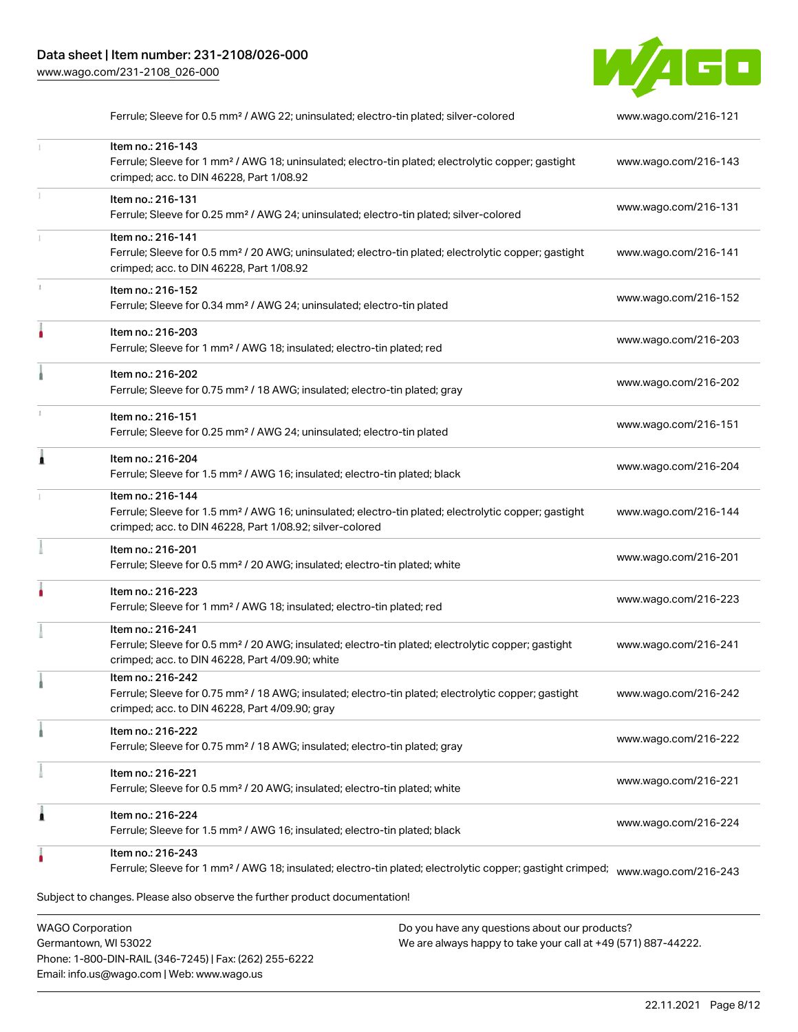

|   | Ferrule; Sleeve for 0.5 mm <sup>2</sup> / AWG 22; uninsulated; electro-tin plated; silver-colored                                                                                                 | www.wago.com/216-121 |
|---|---------------------------------------------------------------------------------------------------------------------------------------------------------------------------------------------------|----------------------|
|   | Item no.: 216-143<br>Ferrule; Sleeve for 1 mm <sup>2</sup> / AWG 18; uninsulated; electro-tin plated; electrolytic copper; gastight<br>crimped; acc. to DIN 46228, Part 1/08.92                   | www.wago.com/216-143 |
|   | Item no.: 216-131<br>Ferrule; Sleeve for 0.25 mm <sup>2</sup> / AWG 24; uninsulated; electro-tin plated; silver-colored                                                                           | www.wago.com/216-131 |
|   | Item no.: 216-141<br>Ferrule; Sleeve for 0.5 mm <sup>2</sup> / 20 AWG; uninsulated; electro-tin plated; electrolytic copper; gastight<br>crimped; acc. to DIN 46228, Part 1/08.92                 | www.wago.com/216-141 |
|   | Item no.: 216-152<br>Ferrule; Sleeve for 0.34 mm <sup>2</sup> / AWG 24; uninsulated; electro-tin plated                                                                                           | www.wago.com/216-152 |
| ۸ | Item no.: 216-203<br>Ferrule; Sleeve for 1 mm <sup>2</sup> / AWG 18; insulated; electro-tin plated; red                                                                                           | www.wago.com/216-203 |
|   | Item no.: 216-202<br>Ferrule; Sleeve for 0.75 mm <sup>2</sup> / 18 AWG; insulated; electro-tin plated; gray                                                                                       | www.wago.com/216-202 |
|   | Item no.: 216-151<br>Ferrule; Sleeve for 0.25 mm <sup>2</sup> / AWG 24; uninsulated; electro-tin plated                                                                                           | www.wago.com/216-151 |
| Â | Item no.: 216-204<br>Ferrule; Sleeve for 1.5 mm <sup>2</sup> / AWG 16; insulated; electro-tin plated; black                                                                                       | www.wago.com/216-204 |
|   | Item no.: 216-144<br>Ferrule; Sleeve for 1.5 mm <sup>2</sup> / AWG 16; uninsulated; electro-tin plated; electrolytic copper; gastight<br>crimped; acc. to DIN 46228, Part 1/08.92; silver-colored | www.wago.com/216-144 |
|   | Item no.: 216-201<br>Ferrule; Sleeve for 0.5 mm <sup>2</sup> / 20 AWG; insulated; electro-tin plated; white                                                                                       | www.wago.com/216-201 |
|   | Item no.: 216-223<br>Ferrule; Sleeve for 1 mm <sup>2</sup> / AWG 18; insulated; electro-tin plated; red                                                                                           | www.wago.com/216-223 |
|   | Item no.: 216-241<br>Ferrule; Sleeve for 0.5 mm <sup>2</sup> / 20 AWG; insulated; electro-tin plated; electrolytic copper; gastight<br>crimped; acc. to DIN 46228, Part 4/09.90; white            | www.wago.com/216-241 |
|   | Item no.: 216-242<br>Ferrule; Sleeve for 0.75 mm <sup>2</sup> / 18 AWG; insulated; electro-tin plated; electrolytic copper; gastight<br>crimped; acc. to DIN 46228, Part 4/09.90; gray            | www.wago.com/216-242 |
|   | Item no.: 216-222<br>Ferrule; Sleeve for 0.75 mm <sup>2</sup> / 18 AWG; insulated; electro-tin plated; gray                                                                                       | www.wago.com/216-222 |
|   | Item no.: 216-221<br>Ferrule; Sleeve for 0.5 mm <sup>2</sup> / 20 AWG; insulated; electro-tin plated; white                                                                                       | www.wago.com/216-221 |
| 1 | Item no.: 216-224<br>Ferrule; Sleeve for 1.5 mm <sup>2</sup> / AWG 16; insulated; electro-tin plated; black                                                                                       | www.wago.com/216-224 |
|   | Item no.: 216-243<br>Ferrule; Sleeve for 1 mm <sup>2</sup> / AWG 18; insulated; electro-tin plated; electrolytic copper; gastight crimped;                                                        | www.wago.com/216-243 |
|   | Subject to changes. Please also observe the further product documentation!                                                                                                                        |                      |

WAGO Corporation Germantown, WI 53022 Phone: 1-800-DIN-RAIL (346-7245) | Fax: (262) 255-6222 Email: info.us@wago.com | Web: www.wago.us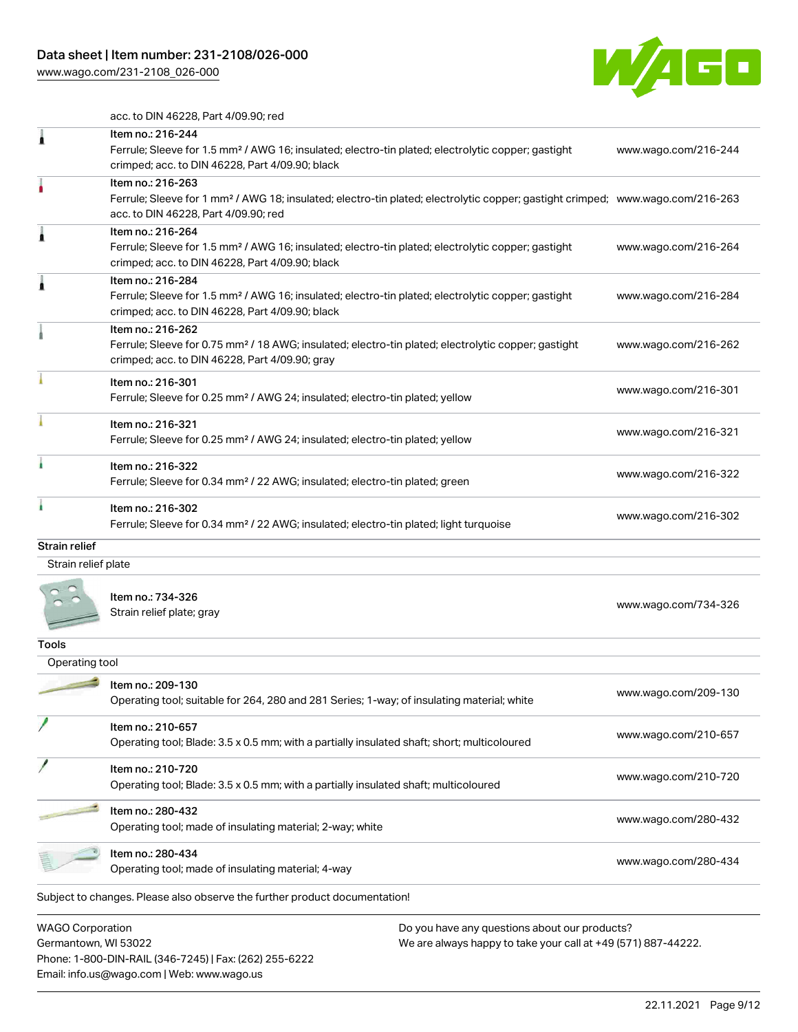Germantown, WI 53022

Phone: 1-800-DIN-RAIL (346-7245) | Fax: (262) 255-6222

Email: info.us@wago.com | Web: www.wago.us



acc. to DIN 46228, Part 4/09.90; red

| <b>WAGO Corporation</b> | Do you have any questions about our products?                                                                                                                                                           |                      |
|-------------------------|---------------------------------------------------------------------------------------------------------------------------------------------------------------------------------------------------------|----------------------|
|                         | Subject to changes. Please also observe the further product documentation!                                                                                                                              |                      |
|                         | Item no.: 280-434<br>Operating tool; made of insulating material; 4-way                                                                                                                                 | www.wago.com/280-434 |
|                         | Item no.: 280-432<br>Operating tool; made of insulating material; 2-way; white                                                                                                                          | www.wago.com/280-432 |
|                         | Item no.: 210-720<br>Operating tool; Blade: 3.5 x 0.5 mm; with a partially insulated shaft; multicoloured                                                                                               | www.wago.com/210-720 |
|                         | Item no.: 210-657<br>Operating tool; Blade: 3.5 x 0.5 mm; with a partially insulated shaft; short; multicoloured                                                                                        | www.wago.com/210-657 |
|                         | Item no.: 209-130<br>Operating tool; suitable for 264, 280 and 281 Series; 1-way; of insulating material; white                                                                                         | www.wago.com/209-130 |
| Operating tool          |                                                                                                                                                                                                         |                      |
| Tools                   |                                                                                                                                                                                                         |                      |
|                         | Item no.: 734-326<br>Strain relief plate; gray                                                                                                                                                          | www.wago.com/734-326 |
| Strain relief plate     |                                                                                                                                                                                                         |                      |
| <b>Strain relief</b>    |                                                                                                                                                                                                         |                      |
|                         | Item no.: 216-302<br>Ferrule; Sleeve for 0.34 mm <sup>2</sup> / 22 AWG; insulated; electro-tin plated; light turquoise                                                                                  | www.wago.com/216-302 |
| ï                       | Item no.: 216-322<br>Ferrule; Sleeve for 0.34 mm <sup>2</sup> / 22 AWG; insulated; electro-tin plated; green                                                                                            | www.wago.com/216-322 |
|                         | Item no.: 216-321<br>Ferrule; Sleeve for 0.25 mm <sup>2</sup> / AWG 24; insulated; electro-tin plated; yellow                                                                                           | www.wago.com/216-321 |
|                         | Item no.: 216-301<br>Ferrule; Sleeve for 0.25 mm <sup>2</sup> / AWG 24; insulated; electro-tin plated; yellow                                                                                           | www.wago.com/216-301 |
|                         | Item no.: 216-262<br>Ferrule; Sleeve for 0.75 mm <sup>2</sup> / 18 AWG; insulated; electro-tin plated; electrolytic copper; gastight<br>crimped; acc. to DIN 46228, Part 4/09.90; gray                  | www.wago.com/216-262 |
| ٨                       | Item no.: 216-284<br>Ferrule; Sleeve for 1.5 mm <sup>2</sup> / AWG 16; insulated; electro-tin plated; electrolytic copper; gastight<br>crimped; acc. to DIN 46228, Part 4/09.90; black                  | www.wago.com/216-284 |
| 1                       | Item no.: 216-264<br>Ferrule; Sleeve for 1.5 mm <sup>2</sup> / AWG 16; insulated; electro-tin plated; electrolytic copper; gastight<br>crimped; acc. to DIN 46228, Part 4/09.90; black                  | www.wago.com/216-264 |
|                         | Item no.: 216-263<br>Ferrule; Sleeve for 1 mm <sup>2</sup> / AWG 18; insulated; electro-tin plated; electrolytic copper; gastight crimped; www.wago.com/216-263<br>acc. to DIN 46228, Part 4/09.90; red |                      |
| 1                       | Item no.: 216-244<br>Ferrule; Sleeve for 1.5 mm <sup>2</sup> / AWG 16; insulated; electro-tin plated; electrolytic copper; gastight<br>crimped; acc. to DIN 46228, Part 4/09.90; black                  | www.wago.com/216-244 |
|                         | duu. tu Diin 40220, Fdi't 4/09.90, Teu                                                                                                                                                                  |                      |

We are always happy to take your call at +49 (571) 887-44222.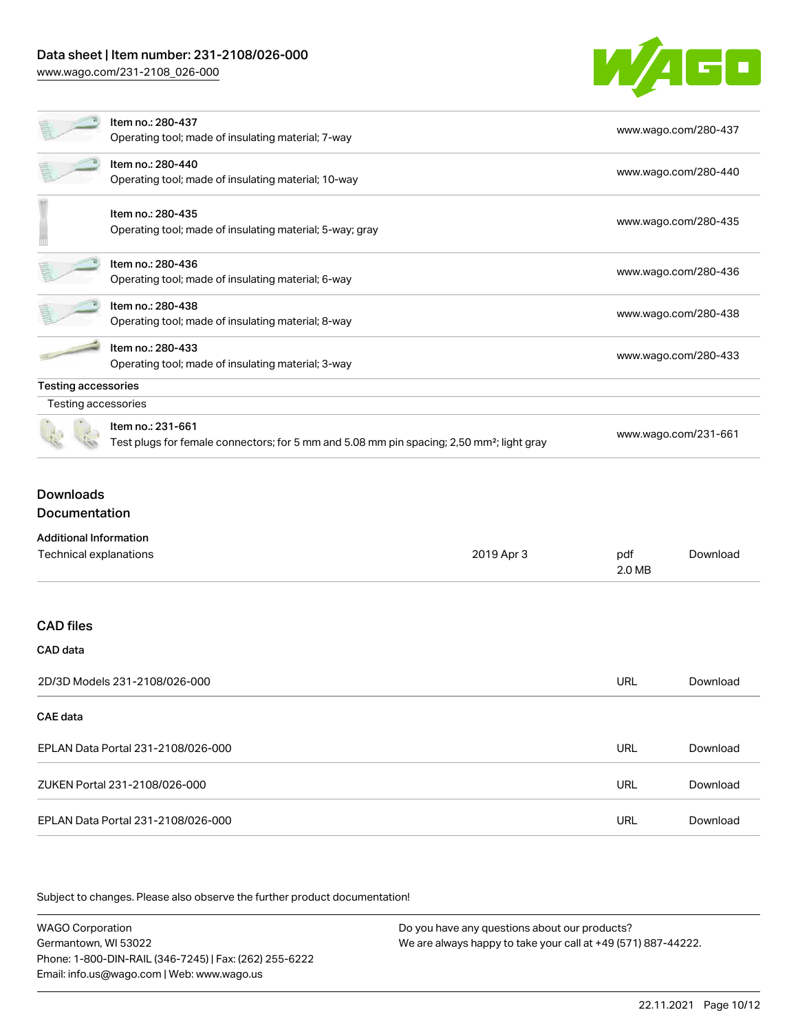

|                            | Item no.: 280-437<br>Operating tool; made of insulating material; 7-way                                                    | www.wago.com/280-437 |  |  |
|----------------------------|----------------------------------------------------------------------------------------------------------------------------|----------------------|--|--|
|                            | Item no.: 280-440<br>Operating tool; made of insulating material; 10-way                                                   | www.wago.com/280-440 |  |  |
|                            | Item no.: 280-435<br>Operating tool; made of insulating material; 5-way; gray                                              | www.wago.com/280-435 |  |  |
|                            | Item no.: 280-436<br>Operating tool; made of insulating material; 6-way                                                    | www.wago.com/280-436 |  |  |
|                            | Item no.: 280-438<br>Operating tool; made of insulating material; 8-way                                                    | www.wago.com/280-438 |  |  |
|                            | Item no.: 280-433<br>Operating tool; made of insulating material; 3-way                                                    | www.wago.com/280-433 |  |  |
| <b>Testing accessories</b> |                                                                                                                            |                      |  |  |
| Testing accessories        |                                                                                                                            |                      |  |  |
|                            | Item no.: 231-661<br>Test plugs for female connectors; for 5 mm and 5.08 mm pin spacing; 2,50 mm <sup>2</sup> ; light gray | www.wago.com/231-661 |  |  |

### Downloads Documentation

| <b>Additional Information</b>      |            |               |          |
|------------------------------------|------------|---------------|----------|
| Technical explanations             | 2019 Apr 3 | pdf<br>2.0 MB | Download |
|                                    |            |               |          |
| <b>CAD files</b>                   |            |               |          |
| CAD data                           |            |               |          |
| 2D/3D Models 231-2108/026-000      |            | <b>URL</b>    | Download |
| <b>CAE</b> data                    |            |               |          |
| EPLAN Data Portal 231-2108/026-000 |            | <b>URL</b>    | Download |
| ZUKEN Portal 231-2108/026-000      |            | <b>URL</b>    | Download |
| EPLAN Data Portal 231-2108/026-000 |            | URL           | Download |

Subject to changes. Please also observe the further product documentation!

WAGO Corporation Germantown, WI 53022 Phone: 1-800-DIN-RAIL (346-7245) | Fax: (262) 255-6222 Email: info.us@wago.com | Web: www.wago.us Do you have any questions about our products? We are always happy to take your call at +49 (571) 887-44222.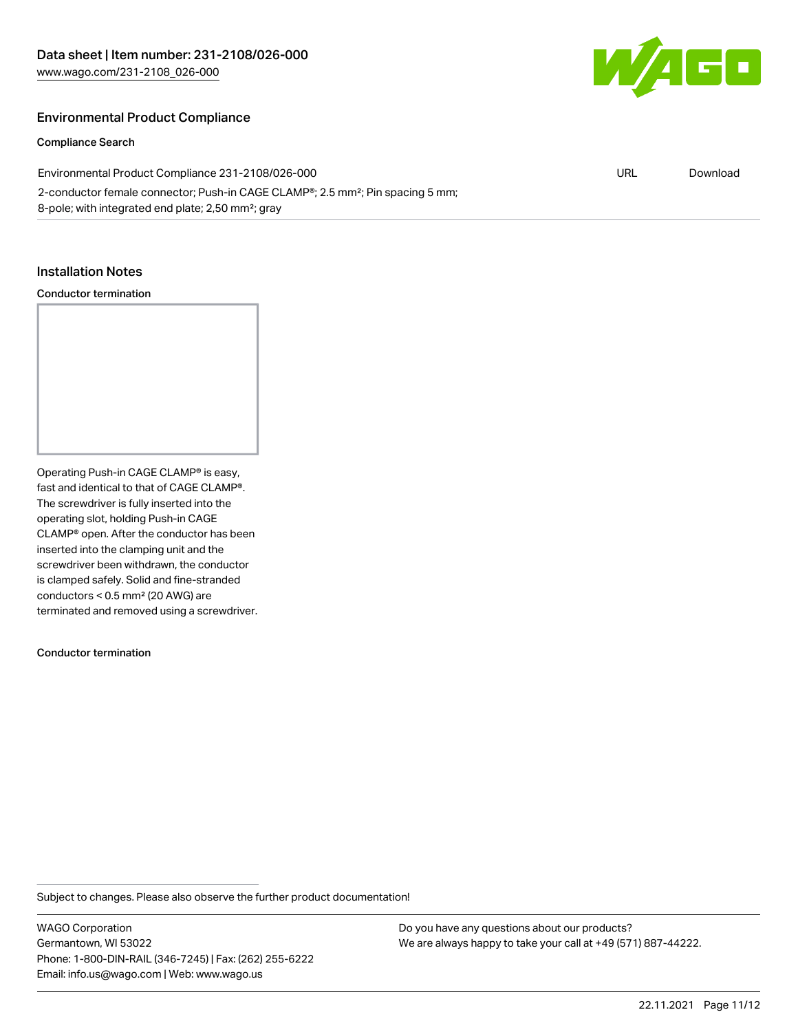

#### Environmental Product Compliance

Compliance Search

Environmental Product Compliance 231-2108/026-000 2-conductor female connector; Push-in CAGE CLAMP®; 2.5 mm²; Pin spacing 5 mm; 8-pole; with integrated end plate; 2,50 mm²; gray URL [Download](https://www.wago.com/global/d/ComplianceLinkMediaContainer_231-2108_026-000)

#### Installation Notes

#### Conductor termination

Operating Push-in CAGE CLAMP® is easy, fast and identical to that of CAGE CLAMP®. The screwdriver is fully inserted into the operating slot, holding Push-in CAGE CLAMP® open. After the conductor has been inserted into the clamping unit and the screwdriver been withdrawn, the conductor is clamped safely. Solid and fine-stranded conductors < 0.5 mm² (20 AWG) are terminated and removed using a screwdriver.

Conductor termination

Subject to changes. Please also observe the further product documentation!

WAGO Corporation Germantown, WI 53022 Phone: 1-800-DIN-RAIL (346-7245) | Fax: (262) 255-6222 Email: info.us@wago.com | Web: www.wago.us